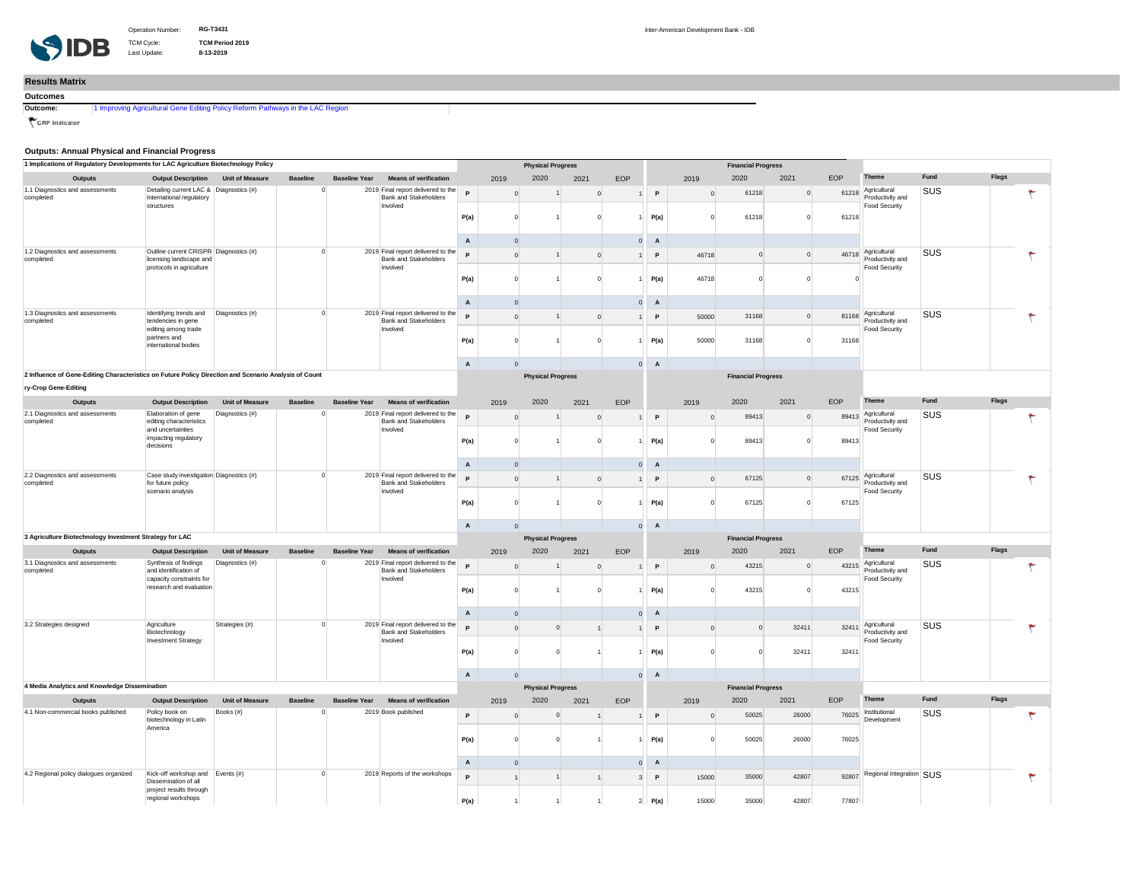

## **Results Matrix**

**Outcomes**

**Outcome:** <sup>1</sup> Improving Agricultural Gene Editing Policy Reform Pathways in the LAC Region

CRF Indicator

## **Outputs: Annual Physical and Financial Progress**

| 1 Implications of Regulatory Developments for LAC Agriculture Biotechnology Policy                    |                                                                                               |                        |                 |                      |                                                                                |              |                          | <b>Physical Progress</b> |      |                |                         |              |                           | <b>Financial Progress</b> |                |            |                                                          |            |       |   |  |  |  |
|-------------------------------------------------------------------------------------------------------|-----------------------------------------------------------------------------------------------|------------------------|-----------------|----------------------|--------------------------------------------------------------------------------|--------------|--------------------------|--------------------------|------|----------------|-------------------------|--------------|---------------------------|---------------------------|----------------|------------|----------------------------------------------------------|------------|-------|---|--|--|--|
| Outputs                                                                                               | <b>Output Description</b>                                                                     | <b>Unit of Measure</b> | <b>Baseline</b> | <b>Baseline Year</b> | <b>Means of verification</b>                                                   |              | 2019                     | 2020                     | 2021 | EOP            |                         |              | 2019                      | 2020                      | 2021           | EOP        | <b>Theme</b>                                             | Fund       | Flags |   |  |  |  |
| 1.1 Diagnostics and assessments<br>completed                                                          | Detailing current LAC & Diagnostics (#)<br>International regulatory                           |                        | $\Omega$        |                      | 2019 Final report delivered to the<br><b>Bank and Stakeholders</b>             | P            | $\mathbf{0}$             |                          |      | $\overline{0}$ | 1                       | $\mathsf{P}$ | $\overline{0}$            | 61218                     | $\circ$        | 61218      | Agricultural<br>Productivity and                         | SUS        |       | ۴ |  |  |  |
|                                                                                                       | structures                                                                                    |                        |                 |                      | Involved                                                                       | P(a)         |                          |                          |      |                |                         | P(a)         | 0                         | 61218                     |                | 61218      | Food Security                                            |            |       |   |  |  |  |
|                                                                                                       |                                                                                               |                        |                 |                      |                                                                                | A            | $\overline{0}$           |                          |      |                | $\circ$                 | A            |                           |                           |                |            |                                                          |            |       |   |  |  |  |
| 1.2 Diagnostics and assessments<br>completed                                                          | Outline current CRISPR Diagnostics (#)<br>licensing landscape and<br>protocols in agriculture |                        | $\Omega$        |                      | 2019 Final report delivered to the<br><b>Bank and Stakeholders</b><br>Involved | $\mathsf P$  | $\mathbf{0}$             |                          |      | $\overline{0}$ | 1                       | $\mathsf{P}$ | 46718                     | $\circ$                   | $\circ$        | 46718      | Agricultural<br>Productivity and<br>Food Security        | SUS        |       |   |  |  |  |
|                                                                                                       |                                                                                               |                        |                 |                      |                                                                                | P(a)         |                          |                          |      |                |                         | P(a)         | 46718                     | $\Omega$                  |                | $^{\circ}$ |                                                          |            |       |   |  |  |  |
| 1.3 Diagnostics and assessments                                                                       | Identifying trends and   Diagnostics (#)                                                      |                        | $\Omega$        |                      | 2019 Final report delivered to the                                             | $\mathsf{A}$ | $\Omega$                 |                          |      |                | $\Omega$                | $\mathbf{A}$ |                           |                           |                |            | Agricultural                                             |            |       |   |  |  |  |
| completed                                                                                             | tendencies in gene<br>editing among trade                                                     |                        |                 |                      | <b>Bank and Stakeholders</b><br>Involved                                       | $\mathsf{P}$ | $\overline{0}$           |                          |      | $\overline{0}$ | $\mathbf{1}$            | $\mathsf{P}$ | 50000                     | 31168                     | $\overline{0}$ | 81168      | Productivity and<br>Food Security                        | <b>SUS</b> |       |   |  |  |  |
|                                                                                                       | partners and<br>international bodies                                                          |                        |                 |                      |                                                                                | P(a)         |                          |                          |      |                |                         | P(a)         | 50000                     | 31168                     |                | 31168      |                                                          |            |       |   |  |  |  |
|                                                                                                       |                                                                                               |                        |                 |                      |                                                                                | $\mathbf{A}$ | $\mathbf{0}$             |                          |      |                | $\overline{0}$          | $\mathbf{A}$ |                           |                           |                |            |                                                          |            |       |   |  |  |  |
| 2 Influence of Gene-Editing Characteristics on Future Policy Direction and Scenario Analysis of Count |                                                                                               |                        |                 |                      |                                                                                |              |                          | <b>Physical Progress</b> |      |                |                         |              |                           | <b>Financial Progress</b> |                |            |                                                          |            |       |   |  |  |  |
| ry-Crop Gene-Editing                                                                                  |                                                                                               |                        |                 |                      |                                                                                |              |                          |                          |      |                |                         |              |                           |                           |                |            |                                                          |            |       |   |  |  |  |
| Outputs                                                                                               | <b>Output Description</b>                                                                     | <b>Unit of Measure</b> | <b>Baseline</b> | <b>Baseline Year</b> | <b>Means of verification</b>                                                   |              | 2019                     | 2020                     | 2021 | EOP            |                         |              | 2019                      | 2020                      | 2021           | EOP        | <b>Theme</b>                                             | Fund       | Flags |   |  |  |  |
| 2.1 Diagnostics and assessments<br>completed                                                          | Elaboration of gene<br>editing characteristics<br>and uncertainties                           | Diagnostics (#)        | 0               |                      | 2019 Final report delivered to the<br><b>Bank and Stakeholders</b><br>Involved | P            | $\Omega$                 | $\mathbf{1}$             |      | $\Omega$       | $\vert$                 | $\, {\bf P}$ | $\overline{0}$            | 89413                     | $\circ$        | 89413      | Agricultural<br>Productivity and<br><b>Food Security</b> | SUS        |       | ۴ |  |  |  |
|                                                                                                       | impacting regulatory<br>decisions                                                             |                        |                 |                      |                                                                                | P(a)         |                          |                          |      |                |                         | P(a)         | $\Omega$                  | 89413                     |                | 89413      |                                                          |            |       |   |  |  |  |
| 2.2 Diagnostics and assessments                                                                       | Case study investigation Diagnostics (#)                                                      |                        | $\Omega$        |                      | 2019 Final report delivered to the                                             | $\mathsf{A}$ | $\overline{0}$           |                          |      |                | $\overline{0}$          | $\mathbf{A}$ |                           |                           |                |            |                                                          | SUS        |       |   |  |  |  |
| completed                                                                                             | for future policy<br>scenario analysis                                                        |                        |                 |                      | <b>Bank and Stakeholders</b><br>Involved                                       | P            | $\mathbf{0}$             |                          |      | $\mathbf 0$    |                         | P            | $\overline{0}$            | 67125                     | $\overline{0}$ |            | 67125 Agricultural<br>Productivity and<br>Food Security  |            |       |   |  |  |  |
|                                                                                                       |                                                                                               |                        |                 |                      |                                                                                | P(a)         |                          |                          |      |                |                         | P(a)         |                           | 67125                     |                | 67125      |                                                          |            |       |   |  |  |  |
|                                                                                                       |                                                                                               |                        |                 |                      |                                                                                | $\mathbf{A}$ | $\overline{0}$           |                          |      |                | $\overline{0}$          | A            |                           |                           |                |            |                                                          |            |       |   |  |  |  |
| 3 Agriculture Biotechnology Investment Strategy for LAC                                               |                                                                                               |                        |                 |                      |                                                                                |              |                          | <b>Physical Progress</b> |      |                |                         |              |                           | <b>Financial Progress</b> |                |            |                                                          |            |       |   |  |  |  |
| Outputs                                                                                               | <b>Output Description</b>                                                                     | <b>Unit of Measure</b> | <b>Baseline</b> | <b>Baseline Year</b> | <b>Means of verification</b>                                                   |              | 2019                     | 2020                     | 2021 | EOP            |                         |              | 2019                      | 2020                      | 2021           | EOP        | <b>Theme</b>                                             | Fund       | Flags |   |  |  |  |
| 3.1 Diagnostics and assessments<br>completed                                                          | Synthesis of findings<br>and identification of<br>capacity constraints for                    | Diagnostics (#)        | o               |                      | 2019 Final report delivered to the<br><b>Bank and Stakeholders</b><br>Involved | P            | $\overline{0}$           |                          |      | $\overline{0}$ |                         | P            | $\circ$                   | 43215                     | $\circ$        | 43215      | Agricultural<br>Productivity and<br>Food Security        | <b>SUS</b> |       |   |  |  |  |
|                                                                                                       | research and evaluation                                                                       |                        |                 |                      |                                                                                | P(a)         |                          |                          |      |                |                         | P(a)         | $\Omega$                  | 43215                     | $\Omega$       | 43215      |                                                          |            |       |   |  |  |  |
|                                                                                                       |                                                                                               |                        |                 |                      |                                                                                | $\mathsf{A}$ | $\overline{0}$           |                          |      |                | $\circ$                 | $\mathbf{A}$ |                           |                           |                |            |                                                          |            |       |   |  |  |  |
| 3.2 Strategies designed                                                                               | Agriculture<br>Biotechnology                                                                  | Strategies (#)         |                 |                      | 2019 Final report delivered to the<br><b>Bank and Stakeholders</b>             | $\mathsf{P}$ | $\mathbf{0}$             | $\overline{0}$           |      | $\mathbf{1}$   | 1                       | P            | $\overline{0}$            | $\overline{0}$            | 32411          | 32411      | Agricultural<br>Productivity and<br>Food Security        | <b>SUS</b> |       |   |  |  |  |
|                                                                                                       | <b>Investment Strategy</b>                                                                    |                        |                 |                      | Involved                                                                       | P(a)         |                          |                          |      |                |                         | P(a)         |                           |                           | 32411          | 32411      |                                                          |            |       |   |  |  |  |
|                                                                                                       |                                                                                               |                        |                 |                      |                                                                                | $\mathbf{A}$ | $\overline{0}$           |                          |      |                | $\overline{0}$          | $\mathbf{A}$ |                           |                           |                |            |                                                          |            |       |   |  |  |  |
| 4 Media Analytics and Knowledge Dissemination                                                         |                                                                                               |                        |                 |                      |                                                                                |              | <b>Physical Progress</b> |                          |      |                |                         |              | <b>Financial Progress</b> |                           |                |            |                                                          |            |       |   |  |  |  |
| Outputs                                                                                               | <b>Output Description</b>                                                                     | <b>Unit of Measure</b> | <b>Baseline</b> | <b>Baseline Year</b> | <b>Means of verification</b>                                                   |              | 2019                     | 2020                     | 2021 | EOP            |                         |              | 2019                      | 2020                      | 2021           | EOP        | <b>Theme</b>                                             | Fund       | Flags |   |  |  |  |
| 4.1 Non-commercial books published                                                                    | Policy book on<br>biotechnology in Latin<br>America                                           | Books (#)              | 0               |                      | 2019 Book published                                                            | P            | $\mathbf{0}$             | $\overline{0}$           |      | $\mathbf{1}$   |                         | $\mathsf{P}$ | $\overline{0}$            | 50025                     | 26000          | 76025      | Institutional<br>Development                             | SUS        |       |   |  |  |  |
|                                                                                                       |                                                                                               |                        |                 |                      |                                                                                | P(a)         | $\Omega$                 |                          |      |                |                         | P(a)         | $\Omega$                  | 50025                     | 26000          | 76025      |                                                          |            |       |   |  |  |  |
|                                                                                                       |                                                                                               |                        | $\overline{0}$  |                      |                                                                                | $\mathsf{A}$ | $\mathbf{0}$             |                          |      |                | $\Omega$                | $\mathbf{A}$ |                           |                           |                |            |                                                          |            |       |   |  |  |  |
| 4.2 Regional policy dialogues organized                                                               | Kick-off workshop and Events (#)<br>Dissemination of all<br>project results through           |                        |                 |                      | 2019 Reports of the workshops                                                  | P            | $\mathbf{1}$             |                          |      |                | $\overline{\mathbf{3}}$ | P            | 15000                     | 35000                     | 42807          | 92807      | Regional Integration SUS                                 |            |       | ۴ |  |  |  |
|                                                                                                       |                                                                                               | regional workshops     |                 |                      |                                                                                |              |                          |                          | P(a) |                |                         |              |                           |                           | $2$ $P(a)$     | 15000      | 35000                                                    | 42807      | 77807 |   |  |  |  |